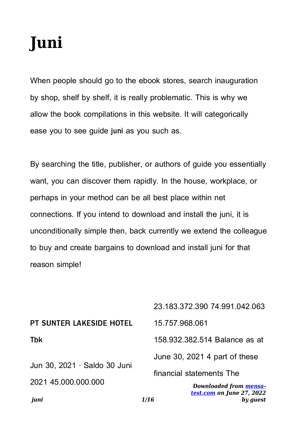# **Juni**

When people should go to the ebook stores, search inauguration by shop, shelf by shelf, it is really problematic. This is why we allow the book compilations in this website. It will categorically ease you to see guide **juni** as you such as.

By searching the title, publisher, or authors of guide you essentially want, you can discover them rapidly. In the house, workplace, or perhaps in your method can be all best place within net connections. If you intend to download and install the juni, it is unconditionally simple then, back currently we extend the colleague to buy and create bargains to download and install juni for that reason simple!

| juni                                                | test.com on June 27, 2022<br>1/16<br>by quest |
|-----------------------------------------------------|-----------------------------------------------|
| Jun 30, 2021 · Saldo 30 Juni<br>2021 45.000.000.000 | Downloaded from mensa-                        |
|                                                     | financial statements The                      |
|                                                     | June 30, 2021 4 part of these                 |
| <b>Tbk</b>                                          | 158,932,382,514 Balance as at                 |
| <b>PT SUNTER LAKESIDE HOTEL</b>                     | 15.757.968.061                                |
|                                                     | 23.183.372.390 74.991.042.063                 |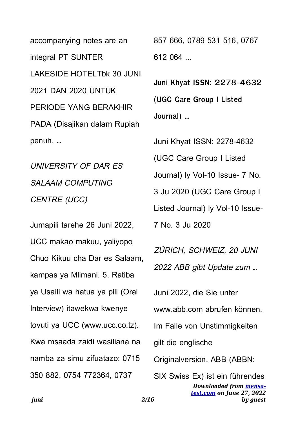accompanying notes are an integral PT SUNTER LAKESIDE HOTELTbk 30 JUNI 2021 DAN 2020 UNTUK PERIODE YANG BERAKHIR PADA (Disajikan dalam Rupiah penuh, …

UNIVERSITY OF DAR ES SAI AAM COMPUTING CENTRE (UCC)

Jumapili tarehe 26 Juni 2022, UCC makao makuu, yaliyopo Chuo Kikuu cha Dar es Salaam, kampas ya Mlimani. 5. Ratiba ya Usaili wa hatua ya pili (Oral Interview) itawekwa kwenye tovuti ya UCC (www.ucc.co.tz). Kwa msaada zaidi wasiliana na namba za simu zifuatazo: 0715 350 882, 0754 772364, 0737

857 666, 0789 531 516, 0767 612 064 ...

**Juni Khyat ISSN: 2278-4632 (UGC Care Group I Listed Journal) …**

*Downloaded from [mensa](https://mensa-test.com)[test.com](https://mensa-test.com) on June 27, 2022* Juni Khyat ISSN: 2278-4632 (UGC Care Group I Listed Journal) ly Vol-10 Issue- 7 No. 3 Ju 2020 (UGC Care Group I Listed Journal) ly Vol-10 Issue-7 No. 3 Ju 2020 ZÜRICH, SCHWEIZ, 20 JUNI 2022 ABB gibt Update zum … Juni 2022, die Sie unter www.abb.com abrufen können. Im Falle von Unstimmigkeiten gilt die englische Originalversion. ABB (ABBN: SIX Swiss Ex) ist ein führendes

*by guest*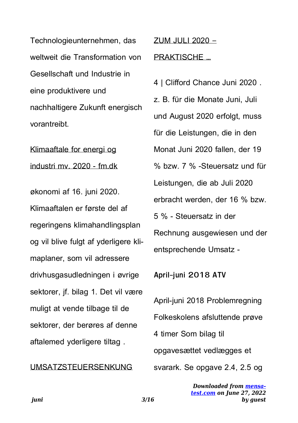Technologieunternehmen, das weltweit die Transformation von Gesellschaft und Industrie in eine produktivere und nachhaltigere Zukunft energisch vorantreibt.

Klimaaftale for energi og industri mv. 2020 - fm.dk

økonomi af 16. juni 2020. Klimaaftalen er første del af regeringens klimahandlingsplan og vil blive fulgt af yderligere klimaplaner, som vil adressere drivhusgasudledningen i øvrige sektorer, jf. bilag 1. Det vil være muligt at vende tilbage til de sektorer, der berøres af denne aftalemed yderligere tiltag .

#### UMSATZSTEUERSENKUNG

ZUM JULI 2020 –

#### PRAKTISCHE …

4 | Clifford Chance Juni 2020 . z. B. für die Monate Juni, Juli und August 2020 erfolgt, muss für die Leistungen, die in den Monat Juni 2020 fallen, der 19 % bzw. 7 % -Steuersatz und für Leistungen, die ab Juli 2020 erbracht werden, der 16 % bzw. 5 % - Steuersatz in der Rechnung ausgewiesen und der entsprechende Umsatz -

**April-juni 2018 ATV**

April-juni 2018 Problemregning Folkeskolens afsluttende prøve 4 timer Som bilag til opgavesættet vedlægges et svarark. Se opgave 2.4, 2.5 og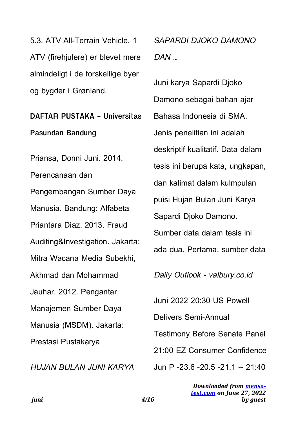5.3. ATV All-Terrain Vehicle. 1 ATV (firehjulere) er blevet mere almindeligt i de forskellige byer og bygder i Grønland.

## **DAFTAR PUSTAKA - Universitas**

**Pasundan Bandung**

Priansa, Donni Juni. 2014. Perencanaan dan Pengembangan Sumber Daya Manusia. Bandung: Alfabeta Priantara Diaz. 2013. Fraud Auditing&Investigation. Jakarta: Mitra Wacana Media Subekhi, Akhmad dan Mohammad Jauhar. 2012. Pengantar Manajemen Sumber Daya Manusia (MSDM). Jakarta: Prestasi Pustakarya

HUJAN BULAN JUNI KARYA

SAPARDI DJOKO DAMONO  $DAN$  ...

Juni karya Sapardi Djoko Damono sebagai bahan ajar Bahasa Indonesia di SMA. Jenis penelitian ini adalah deskriptif kualitatif. Data dalam tesis ini berupa kata, ungkapan, dan kalimat dalam kulmpulan puisi Hujan Bulan Juni Karya Sapardi Djoko Damono. Sumber data dalam tesis ini ada dua. Pertama, sumber data Daily Outlook - valbury.co.id

Juni 2022 20:30 US Powell

Delivers Semi-Annual

Testimony Before Senate Panel

21:00 EZ Consumer Confidence

Jun P -23.6 -20.5 -21.1 -- 21:40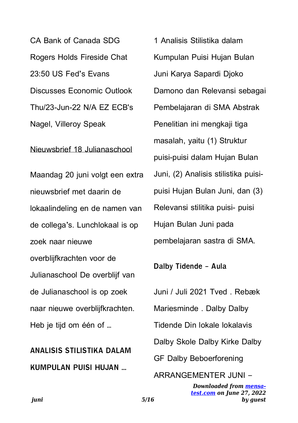CA Bank of Canada SDG Rogers Holds Fireside Chat 23:50 US Fed's Evans Discusses Economic Outlook Thu/23-Jun-22 N/A EZ ECB's Nagel, Villeroy Speak

#### Nieuwsbrief 18 Julianaschool

Maandag 20 juni volgt een extra nieuwsbrief met daarin de lokaalindeling en de namen van de collega's. Lunchlokaal is op zoek naar nieuwe overblijfkrachten voor de Julianaschool De overblijf van de Julianaschool is op zoek naar nieuwe overblijfkrachten. Heb je tijd om één of …

### **ANALISIS STILISTIKA DALAM KUMPULAN PUISI HUJAN …**

1 Analisis Stilistika dalam Kumpulan Puisi Hujan Bulan Juni Karya Sapardi Djoko Damono dan Relevansi sebagai Pembelajaran di SMA Abstrak Penelitian ini mengkaji tiga masalah, yaitu (1) Struktur puisi-puisi dalam Hujan Bulan Juni, (2) Analisis stilistika puisipuisi Hujan Bulan Juni, dan (3) Relevansi stilitika puisi- puisi Hujan Bulan Juni pada pembelajaran sastra di SMA.

**Dalby Tidende - Aula**

Juni / Juli 2021 Tved . Rebæk Mariesminde . Dalby Dalby Tidende Din lokale lokalavis Dalby Skole Dalby Kirke Dalby GF Dalby Beboerforening ARRANGEMENTER JUNI –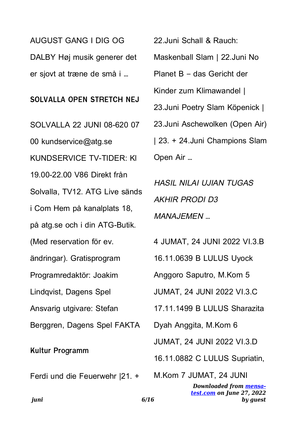AUGUST GANG I DIG OG DALBY Høj musik generer det er sjovt at træne de små i …

#### **SOLVALLA OPEN STRETCH NEJ**

SOLVALLA 22 JUNI 08-620 07 00 kundservice@atg.se KUNDSERVICE TV-TIDER: Kl 19.00-22.00 V86 Direkt från Solvalla, TV12. ATG Live sänds i Com Hem på kanalplats 18, på atg.se och i din ATG-Butik. (Med reservation för ev. ändringar). Gratisprogram Programredaktör: Joakim Lindqvist, Dagens Spel Ansvarig utgivare: Stefan Berggren, Dagens Spel FAKTA

#### **Kultur Programm**

Ferdi und die Feuerwehr |21. +

22.Juni Schall & Rauch:

Maskenball Slam | 22.Juni No

Planet B – das Gericht der

Kinder zum Klimawandel |

23.Juni Poetry Slam Köpenick |

23.Juni Aschewolken (Open Air)

| 23. + 24.Juni Champions Slam Open Air …

HASIL NILAI UJIAN TUGAS AKHIR PRODI D3 MANAJEMEN …

4 JUMAT, 24 JUNI 2022 VI.3.B

16.11.0639 B LULUS Uyock

Anggoro Saputro, M.Kom 5

JUMAT, 24 JUNI 2022 VI.3.C

17.11.1499 B LULUS Sharazita

Dyah Anggita, M.Kom 6

JUMAT, 24 JUNI 2022 VI.3.D

16.11.0882 C LULUS Supriatin,

*Downloaded from [mensa](https://mensa-test.com)[test.com](https://mensa-test.com) on June 27, 2022 by guest* M.Kom 7 JUMAT, 24 JUNI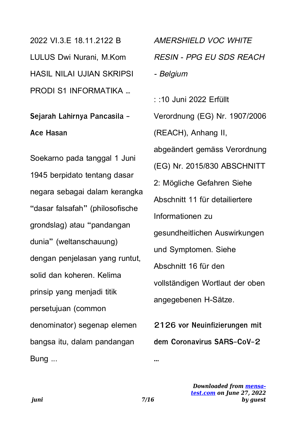2022 VI.3 F 18.11.2122 B LULUS Dwi Nurani, M.Kom HASIL NILAI UJIAN SKRIPSI PRODI S1 INFORMATIKA …

## **Sejarah Lahirnya Pancasila - Ace Hasan**

Soekarno pada tanggal 1 Juni 1945 berpidato tentang dasar negara sebagai dalam kerangka "dasar falsafah" (philosofische grondslag) atau "pandangan dunia" (weltanschauung) dengan penjelasan yang runtut, solid dan koheren. Kelima prinsip yang menjadi titik persetujuan (common denominator) segenap elemen bangsa itu, dalam pandangan Bung ...

AMERSHIELD VOC WHITE RESIN - PPG EU SDS REACH - Belgium : :10 Juni 2022 Erfüllt Verordnung (EG) Nr. 1907/2006 (REACH), Anhang II, abgeändert gemäss Verordnung (EG) Nr. 2015/830 ABSCHNITT 2: Mögliche Gefahren Siehe Abschnitt 11 für detailiertere Informationen zu gesundheitlichen Auswirkungen und Symptomen. Siehe Abschnitt 16 für den vollständigen Wortlaut der oben angegebenen H-Sätze.

**2126 vor Neuinfizierungen mit dem Coronavirus SARS-CoV-2**

**...**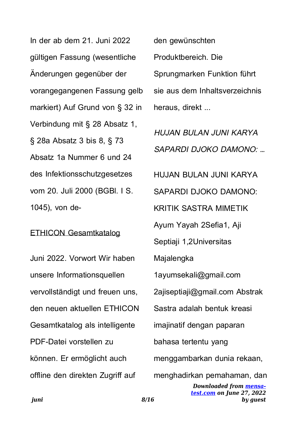In der ab dem 21. Juni 2022 gültigen Fassung (wesentliche Änderungen gegenüber der vorangegangenen Fassung gelb markiert) Auf Grund von § 32 in Verbindung mit § 28 Absatz 1, § 28a Absatz 3 bis 8, § 73 Absatz 1a Nummer 6 und 24 des Infektionsschutzgesetzes vom 20. Juli 2000 (BGBl. I S. 1045), von de-

#### ETHICON Gesamtkatalog

Juni 2022. Vorwort Wir haben unsere Informationsquellen vervollständigt und freuen uns, den neuen aktuellen ETHICON Gesamtkatalog als intelligente PDF-Datei vorstellen zu können. Er ermöglicht auch offline den direkten Zugriff auf

den gewünschten Produktbereich. Die Sprungmarken Funktion führt sie aus dem Inhaltsverzeichnis heraus, direkt ...

HUJAN BULAN JUNI KARYA SAPARDI DJOKO DAMONO: …

HUJAN BULAN JUNI KARYA

SAPARDI DJOKO DAMONO:

KRITIK SASTRA MIMETIK

Ayum Yayah 2Sefia1, Aji

Septiaji 1,2Universitas

Majalengka

1ayumsekali@gmail.com

2ajiseptiaji@gmail.com Abstrak

Sastra adalah bentuk kreasi

imajinatif dengan paparan

bahasa tertentu yang

menggambarkan dunia rekaan,

menghadirkan pemahaman, dan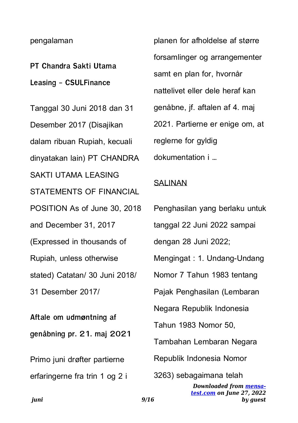#### pengalaman

**PT Chandra Sakti Utama Leasing - CSULFinance**

Tanggal 30 Juni 2018 dan 31 Desember 2017 (Disajikan dalam ribuan Rupiah, kecuali dinyatakan lain) PT CHANDRA SAKTI UTAMA LEASING STATEMENTS OF FINANCIAL POSITION As of June 30, 2018 and December 31, 2017 (Expressed in thousands of Rupiah, unless otherwise stated) Catatan/ 30 Juni 2018/ 31 Desember 2017/

**Aftale om udmøntning af genåbning pr. 21. maj 2021**

Primo juni drøfter partierne erfaringerne fra trin 1 og 2 i planen for afholdelse af større forsamlinger og arrangementer samt en plan for, hvornår nattelivet eller dele heraf kan genåbne, jf. aftalen af 4. maj 2021. Partierne er enige om, at reglerne for gyldig dokumentation i …

#### **SALINAN**

| Penghasilan yang berlaku untuk                                                        |
|---------------------------------------------------------------------------------------|
| tanggal 22 Juni 2022 sampai                                                           |
| dengan 28 Juni 2022;                                                                  |
| Mengingat: 1. Undang-Undang                                                           |
| Nomor 7 Tahun 1983 tentang                                                            |
| Pajak Penghasilan (Lembaran                                                           |
| Negara Republik Indonesia                                                             |
| Tahun 1983 Nomor 50,                                                                  |
| Tambahan Lembaran Negara                                                              |
| Republik Indonesia Nomor                                                              |
| 3263) sebagaimana telah<br><b>Downloaded from mensa-</b><br>test.com on June 27, 2022 |

*by guest*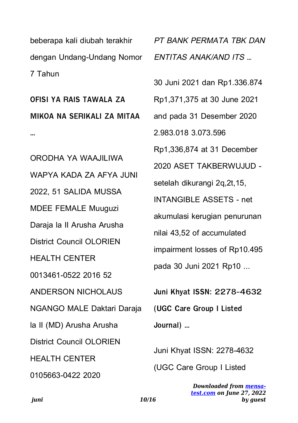beberapa kali diubah terakhir dengan Undang-Undang Nomor 7 Tahun

**OFISI YA RAIS TAWALA ZA MIKOA NA SERIKALI ZA MITAA**

**…**

ORODHA YA WAAJILIWA WAPYA KADA ZA AFYA JUNI 2022, 51 SALIDA MUSSA MDEE FEMALE Muuguzi Daraja la II Arusha Arusha District Council OLORIEN HEALTH CENTER 0013461-0522 2016 52 ANDERSON NICHOLAUS NGANGO MALE Daktari Daraja la II (MD) Arusha Arusha District Council OLORIEN HEALTH CENTER 0105663-0422 2020

PT BANK PERMATA TBK DAN ENTITAS ANAK/AND ITS …

30 Juni 2021 dan Rp1.336.874

Rp1,371,375 at 30 June 2021

and pada 31 Desember 2020

2.983.018 3.073.596

Rp1,336,874 at 31 December

2020 ASET TAKBERWUJUD -

setelah dikurangi 2q,2t,15,

INTANGIBLE ASSETS - net

akumulasi kerugian penurunan

nilai 43,52 of accumulated

impairment losses of Rp10.495

pada 30 Juni 2021 Rp10 ...

**Juni Khyat ISSN: 2278-4632 (UGC Care Group I Listed Journal) …**

Juni Khyat ISSN: 2278-4632

(UGC Care Group I Listed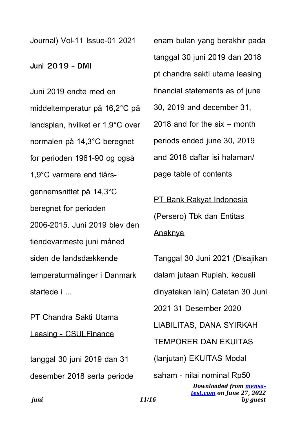Journal) Vol-11 Issue-01 2021

**Juni 2019 - DMI**

Juni 2019 endte med en middeltemperatur på 16,2°C på landsplan, hvilket er 1,9°C over normalen på 14,3°C beregnet for perioden 1961-90 og også 1,9°C varmere end tiårsgennemsnittet på 14,3°C beregnet for perioden 2006-2015. Juni 2019 blev den tiendevarmeste juni måned siden de landsdækkende temperaturmålinger i Danmark startede i ...

PT Chandra Sakti Utama Leasing - CSULFinance

tanggal 30 juni 2019 dan 31 desember 2018 serta periode enam bulan yang berakhir pada tanggal 30 juni 2019 dan 2018 pt chandra sakti utama leasing financial statements as of june 30, 2019 and december 31, 2018 and for the six – month periods ended june 30, 2019 and 2018 daftar isi halaman/ page table of contents

PT Bank Rakyat Indonesia

(Persero) Tbk dan Entitas

#### Anaknya

Tanggal 30 Juni 2021 (Disajikan dalam jutaan Rupiah, kecuali dinyatakan lain) Catatan 30 Juni 2021 31 Desember 2020 LIABILITAS, DANA SYIRKAH TEMPORER DAN EKUITAS (lanjutan) EKUITAS Modal saham - nilai nominal Rp50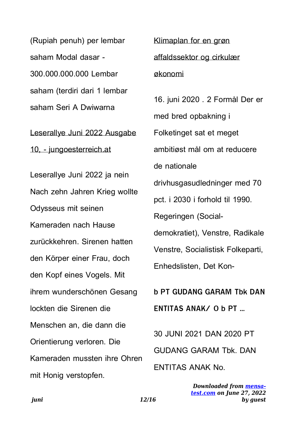(Rupiah penuh) per lembar saham Modal dasar - 300.000.000.000 Lembar saham (terdiri dari 1 lembar saham Seri A Dwiwarna

Leserallye Juni 2022 Ausgabe 10, - jungoesterreich.at

Leserallye Juni 2022 ja nein Nach zehn Jahren Krieg wollte Odysseus mit seinen Kameraden nach Hause zurückkehren. Sirenen hatten den Körper einer Frau, doch den Kopf eines Vogels. Mit ihrem wunderschönen Gesang lockten die Sirenen die Menschen an, die dann die Orientierung verloren. Die Kameraden mussten ihre Ohren mit Honig verstopfen.

Klimaplan for en grøn affaldssektor og cirkulær økonomi

16. juni 2020 . 2 Formål Der er med bred opbakning i Folketinget sat et meget ambitiøst mål om at reducere de nationale drivhusgasudledninger med 70 pct. i 2030 i forhold til 1990. Regeringen (Socialdemokratiet), Venstre, Radikale Venstre, Socialistisk Folkeparti, Enhedslisten, Det Kon-

**b PT GUDANG GARAM Tbk DAN ENTITAS ANAK/ 0 b PT …**

30 JUNI 2021 DAN 2020 PT GUDANG GARAM Tbk. DAN ENTITAS ANAK No.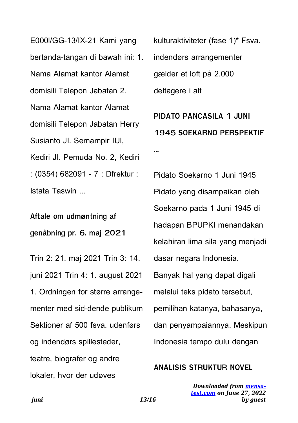E000l/GG-13/IX-21 Kami yang bertanda-tangan di bawah ini: 1. Nama Alamat kantor Alamat domisili Telepon Jabatan 2. Nama Alamat kantor Alamat domisili Telepon Jabatan Herry Susianto JI. Semampir IUl, Kediri JI. Pemuda No. 2, Kediri : (0354) 682091 - 7 : Dfrektur : Istata Taswin ...

**Aftale om udmøntning af genåbning pr. 6. maj 2021**

Trin 2: 21. maj 2021 Trin 3: 14. juni 2021 Trin 4: 1. august 2021 1. Ordningen for større arrangementer med sid-dende publikum Sektioner af 500 fsva. udenførs og indendørs spillesteder, teatre, biografer og andre lokaler, hvor der udøves

kulturaktiviteter (fase 1)\* Fsva. indendørs arrangementer gælder et loft på 2.000 deltagere i alt

**PIDATO PANCASILA 1 JUNI 1945 SOEKARNO PERSPEKTIF …**

Pidato Soekarno 1 Juni 1945 Pidato yang disampaikan oleh Soekarno pada 1 Juni 1945 di hadapan BPUPKI menandakan kelahiran lima sila yang menjadi dasar negara Indonesia. Banyak hal yang dapat digali melalui teks pidato tersebut, pemilihan katanya, bahasanya, dan penyampaiannya. Meskipun Indonesia tempo dulu dengan

#### **ANALISIS STRUKTUR NOVEL**

*juni 13/16*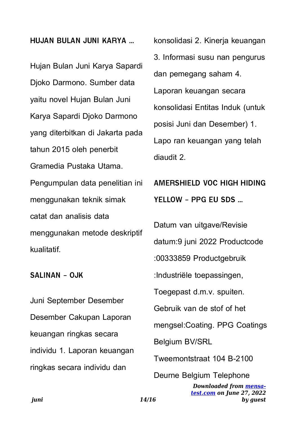#### **HUJAN BULAN JUNI KARYA …**

Hujan Bulan Juni Karya Sapardi Djoko Darmono. Sumber data yaitu novel Hujan Bulan Juni Karya Sapardi Djoko Darmono yang diterbitkan di Jakarta pada tahun 2015 oleh penerbit Gramedia Pustaka Utama. Pengumpulan data penelitian ini menggunakan teknik simak catat dan analisis data menggunakan metode deskriptif kualitatif.

**SALINAN - OJK**

Juni September Desember Desember Cakupan Laporan keuangan ringkas secara individu 1. Laporan keuangan ringkas secara individu dan

konsolidasi 2. Kinerja keuangan 3. Informasi susu nan pengurus dan pemegang saham 4. Laporan keuangan secara konsolidasi Entitas Induk (untuk posisi Juni dan Desember) 1. Lapo ran keuangan yang telah diaudit 2.

**AMERSHIELD VOC HIGH HIDING YELLOW - PPG EU SDS …**

*Downloaded from [mensa-](https://mensa-test.com)*Datum van uitgave/Revisie datum:9 juni 2022 Productcode :00333859 Productgebruik :Industriële toepassingen, Toegepast d.m.v. spuiten. Gebruik van de stof of het mengsel:Coating. PPG Coatings Belgium BV/SRL Tweemontstraat 104 B-2100 Deurne Belgium Telephone

*[test.com](https://mensa-test.com) on June 27, 2022*

*by guest*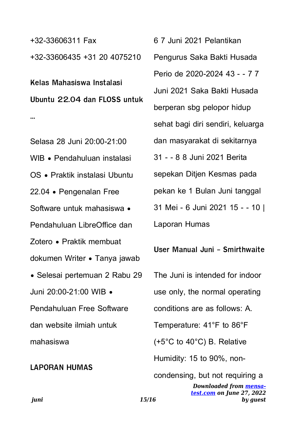+32-33606311 Fax +32-33606435 +31 20 4075210

**Kelas Mahasiswa Instalasi Ubuntu 22.04 dan FLOSS untuk …**

Selasa 28 Juni 20:00-21:00 WIB • Pendahuluan instalasi OS • Praktik instalasi Ubuntu 22.04 • Pengenalan Free Software untuk mahasiswa • Pendahuluan LibreOffice dan Zotero • Praktik membuat dokumen Writer • Tanya jawab • Selesai pertemuan 2 Rabu 29 Juni 20:00-21:00 WIB • Pendahuluan Free Software dan website ilmiah untuk mahasiswa

#### **LAPORAN HUMAS**

6 7 Juni 2021 Pelantikan Pengurus Saka Bakti Husada Perio de 2020-2024 43 - - 7 7 Juni 2021 Saka Bakti Husada berperan sbg pelopor hidup sehat bagi diri sendiri, keluarga dan masyarakat di sekitarnya 31 - - 8 8 Juni 2021 Berita sepekan Ditjen Kesmas pada pekan ke 1 Bulan Juni tanggal 31 Mei - 6 Juni 2021 15 - - 10 | Laporan Humas

**User Manual Juni - Smirthwaite** The Juni is intended for indoor use only, the normal operating conditions are as follows: A. Temperature: 41°F to 86°F (+5°C to 40°C) B. Relative Humidity: 15 to 90%, noncondensing, but not requiring a